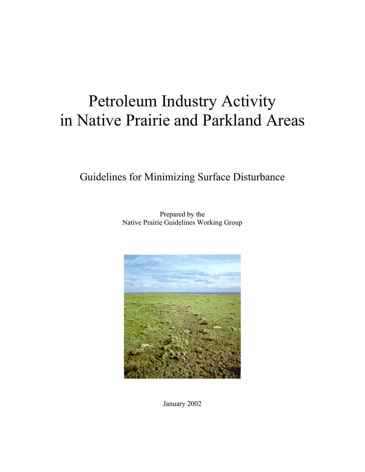# Petroleum Industry Activity in Native Prairie and Parkland Areas

Guidelines for Minimizing Surface Disturbance

Prepared by the Native Prairie Guidelines Working Group



January 2002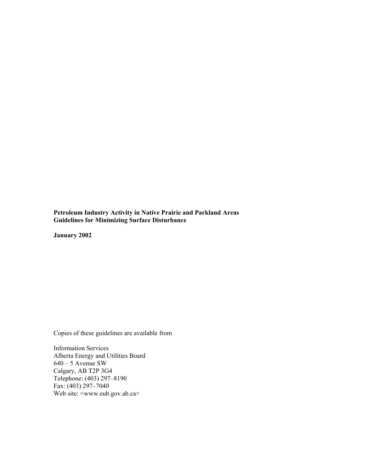**Petroleum Industry Activity in Native Prairie and Parkland Areas Guidelines for Minimizing Surface Disturbance** 

**January 2002** 

Copies of these guidelines are available from

Information Services Alberta Energy and Utilities Board  $640 - 5$  Avenue SW Calgary, AB T2P 3G4 Telephone: (403) 297–8190 Fax:  $(403)$  297-7040 Web site: <www.eub.gov.ab.ca>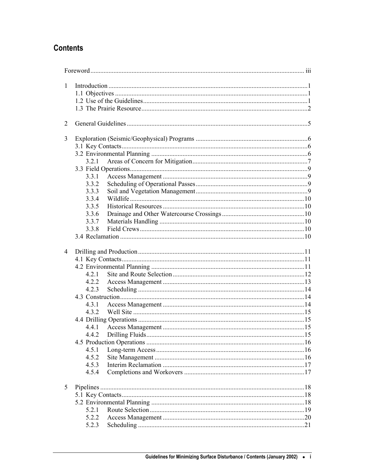# **Contents**

| $\mathbf{1}$   |       |  |  |
|----------------|-------|--|--|
|                |       |  |  |
|                |       |  |  |
|                |       |  |  |
| 2              |       |  |  |
| 3              |       |  |  |
|                |       |  |  |
|                |       |  |  |
|                | 3.2.1 |  |  |
|                |       |  |  |
|                | 3.3.1 |  |  |
|                | 3.3.2 |  |  |
|                | 3.3.3 |  |  |
|                | 3.3.4 |  |  |
|                | 3.3.5 |  |  |
|                | 3.3.6 |  |  |
|                | 3.3.7 |  |  |
|                | 3.3.8 |  |  |
|                |       |  |  |
|                |       |  |  |
|                |       |  |  |
| $\overline{4}$ |       |  |  |
|                |       |  |  |
|                |       |  |  |
|                | 4.2.1 |  |  |
|                | 4.2.2 |  |  |
|                | 4.2.3 |  |  |
|                |       |  |  |
|                | 4.3.1 |  |  |
|                | 4.3.2 |  |  |
|                |       |  |  |
|                | 4.4.1 |  |  |
|                |       |  |  |
|                |       |  |  |
|                | 4.5.1 |  |  |
|                | 4.5.2 |  |  |
|                | 4.5.3 |  |  |
|                | 4.5.4 |  |  |
|                |       |  |  |
| 5              |       |  |  |
|                |       |  |  |
|                |       |  |  |
|                | 5.2.1 |  |  |
|                | 5.2.2 |  |  |
|                |       |  |  |
|                | 5.2.3 |  |  |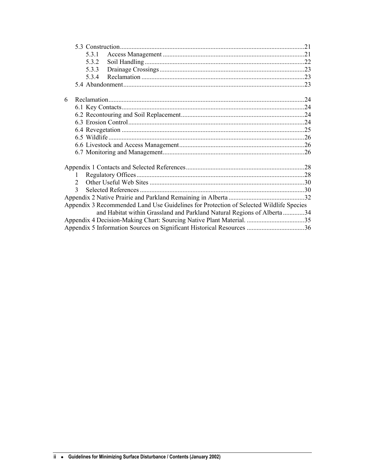|   | 5.3.1                       |                                                                                        |  |
|---|-----------------------------|----------------------------------------------------------------------------------------|--|
|   | 5.3.2                       |                                                                                        |  |
|   | 5.3.3                       |                                                                                        |  |
|   | 5.3.4                       |                                                                                        |  |
|   |                             |                                                                                        |  |
|   |                             |                                                                                        |  |
| 6 |                             |                                                                                        |  |
|   |                             |                                                                                        |  |
|   |                             |                                                                                        |  |
|   |                             |                                                                                        |  |
|   |                             |                                                                                        |  |
|   |                             |                                                                                        |  |
|   |                             |                                                                                        |  |
|   |                             |                                                                                        |  |
|   |                             |                                                                                        |  |
|   | 1                           |                                                                                        |  |
|   | $\mathcal{D}_{\mathcal{L}}$ |                                                                                        |  |
|   | 3                           |                                                                                        |  |
|   |                             |                                                                                        |  |
|   |                             | Appendix 3 Recommended Land Use Guidelines for Protection of Selected Wildlife Species |  |
|   |                             | and Habitat within Grassland and Parkland Natural Regions of Alberta 34                |  |
|   |                             | Appendix 4 Decision-Making Chart: Sourcing Native Plant Material. 35                   |  |
|   |                             |                                                                                        |  |
|   |                             |                                                                                        |  |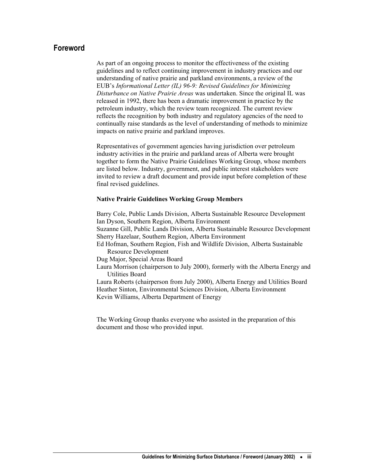# <span id="page-6-0"></span>**Foreword**

As part of an ongoing process to monitor the effectiveness of the existing guidelines and to reflect continuing improvement in industry practices and our understanding of native prairie and parkland environments, a review of the EUB's *Informational Letter (IL) 96-9: Revised Guidelines for Minimizing Disturbance on Native Prairie Areas* was undertaken. Since the original IL was released in 1992, there has been a dramatic improvement in practice by the petroleum industry, which the review team recognized. The current review reflects the recognition by both industry and regulatory agencies of the need to continually raise standards as the level of understanding of methods to minimize impacts on native prairie and parkland improves.

Representatives of government agencies having jurisdiction over petroleum industry activities in the prairie and parkland areas of Alberta were brought together to form the Native Prairie Guidelines Working Group, whose members are listed below. Industry, government, and public interest stakeholders were invited to review a draft document and provide input before completion of these final revised guidelines.

#### **Native Prairie Guidelines Working Group Members**

Barry Cole, Public Lands Division, Alberta Sustainable Resource Development Ian Dyson, Southern Region, Alberta Environment Suzanne Gill, Public Lands Division, Alberta Sustainable Resource Development Sherry Hazelaar, Southern Region, Alberta Environment Ed Hofman, Southern Region, Fish and Wildlife Division, Alberta Sustainable Resource Development Dug Major, Special Areas Board Laura Morrison (chairperson to July 2000), formerly with the Alberta Energy and Utilities Board Laura Roberts (chairperson from July 2000), Alberta Energy and Utilities Board Heather Sinton, Environmental Sciences Division, Alberta Environment Kevin Williams, Alberta Department of Energy

The Working Group thanks everyone who assisted in the preparation of this document and those who provided input.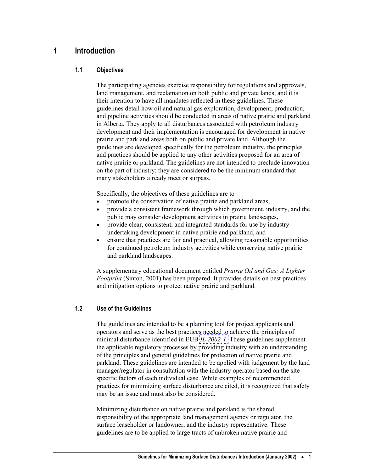# <span id="page-8-0"></span>**1 Introduction**

# **1.1 Objectives**

The participating agencies exercise responsibility for regulations and approvals, land management, and reclamation on both public and private lands, and it is their intention to have all mandates reflected in these guidelines. These guidelines detail how oil and natural gas exploration, development, production, and pipeline activities should be conducted in areas of native prairie and parkland in Alberta. They apply to all disturbances associated with petroleum industry development and their implementation is encouraged for development in native prairie and parkland areas both on public and private land. Although the guidelines are developed specifically for the petroleum industry, the principles and practices should be applied to any other activities proposed for an area of native prairie or parkland. The guidelines are not intended to preclude innovation on the part of industry; they are considered to be the minimum standard that many stakeholders already meet or surpass.

Specifically, the objectives of these guidelines are to

- promote the conservation of native prairie and parkland areas,
- provide a consistent framework through which government, industry, and the public may consider development activities in prairie landscapes,
- provide clear, consistent, and integrated standards for use by industry undertaking development in native prairie and parkland, and
- ensure that practices are fair and practical, allowing reasonable opportunities for continued petroleum industry activities while conserving native prairie and parkland landscapes.

A supplementary educational document entitled *Prairie Oil and Gas: A Lighter Footprint* (Sinton, 2001) has been prepared. It provides details on best practices and mitigation options to protect native prairie and parkland.

# **1.2 Use of the Guidelines**

The guidelines are intended to be a planning tool for project applicants and operators and serve as the best practices needed to achieve the principles of minimal disturbance identified in EUB *[IL 2002-1](http://www.eub.gov.ab.ca/bbs/ils/ils/il2002-01.pdf)*. These guidelines supplement the applicable regulatory processes by providing industry with an understanding of the principles and general guidelines for protection of native prairie and parkland. These guidelines are intended to be applied with judgement by the land manager/regulator in consultation with the industry operator based on the sitespecific factors of each individual case. While examples of recommended practices for minimizing surface disturbance are cited, it is recognized that safety may be an issue and must also be considered.

Minimizing disturbance on native prairie and parkland is the shared responsibility of the appropriate land management agency or regulator, the surface leaseholder or landowner, and the industry representative. These guidelines are to be applied to large tracts of unbroken native prairie and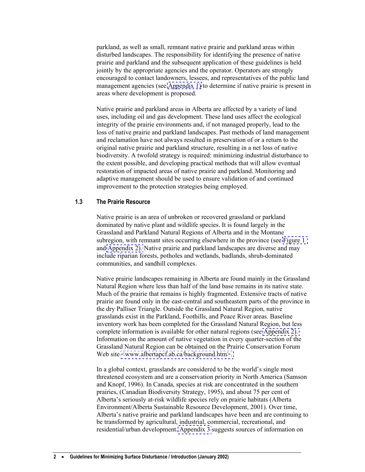parkland, as well as small, remnant native prairie and parkland areas within disturbed landscapes. The responsibility for identifying the presence of native prairie and parkland and the subsequent application of these guidelines is held jointly by the appropriate agencies and the operator. Operators are strongly encouraged to contact landowners, lessees, and representatives of the public land management agencies (see [Appendix 1\)](#page-35-0) to determine if native prairie is present in areas where development is proposed.

Native prairie and parkland areas in Alberta are affected by a variety of land uses, including oil and gas development. These land uses affect the ecological integrity of the prairie environments and, if not managed properly, lead to the loss of native prairie and parkland landscapes. Past methods of land management and reclamation have not always resulted in preservation of or a return to the original native prairie and parkland structure, resulting in a net loss of native biodiversity. A twofold strategy is required: minimizing industrial disturbance to the extent possible, and developing practical methods that will allow eventual restoration of impacted areas of native prairie and parkland. Monitoring and adaptive management should be used to ensure validation of and continued improvement to the protection strategies being employed.

#### **1.3 The Prairie Resource**

Native prairie is an area of unbroken or recovered grassland or parkland dominated by native plant and wildlife species. It is found largely in the Grassland and Parkland Natural Regions of Alberta and in the Montane subregion, with remnant sites occurring elsewhere in the province (see [Figure 1](#page-10-0)  and [Appendix 2\).](#page-39-0) Native prairie and parkland landscapes are diverse and may include riparian forests, potholes and wetlands, badlands, shrub-dominated communities, and sandhill complexes.

Native prairie landscapes remaining in Alberta are found mainly in the Grassland Natural Region where less than half of the land base remains in its native state. Much of the prairie that remains is highly fragmented. Extensive tracts of native prairie are found only in the east-central and southeastern parts of the province in the dry Palliser Triangle. Outside the Grassland Natural Region, native grasslands exist in the Parkland, Foothills, and Peace River areas. Baseline inventory work has been completed for the Grassland Natural Region, but less complete information is available for other natural regions (see [Appendix 2\).](#page-39-0)  Information on the amount of native vegetation in every quarter-section of the Grassland Natural Region can be obtained on the Prairie Conservation Forum Web site <www.albertapcf.ab.ca/background.htm>.

In a global context, grasslands are considered to be the world's single most threatened ecosystem and are a conservation priority in North America (Samson and Knopf, 1996). In Canada, species at risk are concentrated in the southern prairies, (Canadian Biodiversity Strategy, 1995), and about 75 per cent of Alberta's seriously at-risk wildlife species rely on prairie habitats (Alberta Environment/Alberta Sustainable Resource Development, 2001). Over time, Alberta's native prairie and parkland landscapes have been and are continuing to be transformed by agricultural, industrial, commercial, recreational, and residential/urban development. [Appendix 3](#page-41-0) suggests sources of information on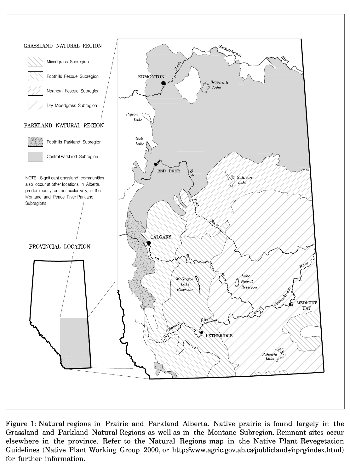

Figure 1: Natural regions in Prairie and Parkland Alberta. Native prairie is found largely in the Grassland and Parkland Natural Regions as well as in the Montane Subregion. Remnant sites occur elsewhere in the province. Refer to the Natural Regions map in the Native Plant Revegetation Guidelines (Native Plant Working Group 2000, or http://www.agric.gov.ab.ca/publiclands/nprg/index.html) for further information.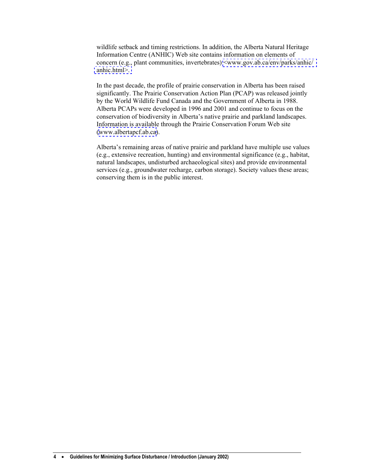wildlife setback and timing restrictions. In addition, the Alberta Natural Heritage Information Centre (ANHIC) Web site contains information on elements of concern (e.g., plant communities, invertebrates) <[www.gov.ab.ca/env/parks/anhic/](http://www.gov.ab.ca/env/parks/anhic/anhic.html)  [anhic.html](http://www.gov.ab.ca/env/parks/anhic/anhic.html)>.

In the past decade, the profile of prairie conservation in Alberta has been raised significantly. The Prairie Conservation Action Plan (PCAP) was released jointly by the World Wildlife Fund Canada and the Government of Alberta in 1988. Alberta PCAPs were developed in 1996 and 2001 and continue to focus on the conservation of biodiversity in Alberta's native prairie and parkland landscapes. Information is available through the Prairie Conservation Forum Web site ([www.albertapcf.ab.ca\)](http://www.albertapcf.ab.ca/).

Alberta's remaining areas of native prairie and parkland have multiple use values (e.g., extensive recreation, hunting) and environmental significance (e.g., habitat, natural landscapes, undisturbed archaeological sites) and provide environmental services (e.g., groundwater recharge, carbon storage). Society values these areas; conserving them is in the public interest.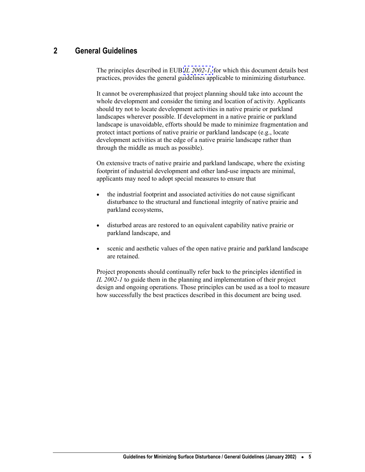# <span id="page-12-0"></span>**2 General Guidelines**

The principles described in EUB *[IL 2002-1](http://www.eub.gov.ab.ca/bbs/ils/ils/il2002-01.pdf)*, for which this document details best practices, provides the general guidelines applicable to minimizing disturbance.

It cannot be overemphasized that project planning should take into account the whole development and consider the timing and location of activity. Applicants should try not to locate development activities in native prairie or parkland landscapes wherever possible. If development in a native prairie or parkland landscape is unavoidable, efforts should be made to minimize fragmentation and protect intact portions of native prairie or parkland landscape (e.g., locate development activities at the edge of a native prairie landscape rather than through the middle as much as possible).

On extensive tracts of native prairie and parkland landscape, where the existing footprint of industrial development and other land-use impacts are minimal, applicants may need to adopt special measures to ensure that

- the industrial footprint and associated activities do not cause significant disturbance to the structural and functional integrity of native prairie and parkland ecosystems,
- disturbed areas are restored to an equivalent capability native prairie or parkland landscape, and
- scenic and aesthetic values of the open native prairie and parkland landscape are retained.

Project proponents should continually refer back to the principles identified in *IL 2002-1* to guide them in the planning and implementation of their project design and ongoing operations. Those principles can be used as a tool to measure how successfully the best practices described in this document are being used.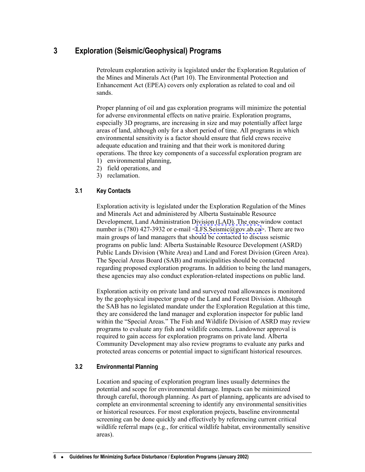# <span id="page-13-0"></span>**3 Exploration (Seismic/Geophysical) Programs**

Petroleum exploration activity is legislated under the Exploration Regulation of the Mines and Minerals Act (Part 10). The Environmental Protection and Enhancement Act (EPEA) covers only exploration as related to coal and oil sands.

Proper planning of oil and gas exploration programs will minimize the potential for adverse environmental effects on native prairie. Exploration programs, especially 3D programs, are increasing in size and may potentially affect large areas of land, although only for a short period of time. All programs in which environmental sensitivity is a factor should ensure that field crews receive adequate education and training and that their work is monitored during operations. The three key components of a successful exploration program are

- 1) environmental planning,
- 2) field operations, and
- 3) reclamation.

## **3.1 Key Contacts**

Exploration activity is legislated under the Exploration Regulation of the Mines and Minerals Act and administered by Alberta Sustainable Resource Development, Land Administration Division (LAD). The one-window contact number is (780) 427-3932 or e-mail <[LFS.Seismic@gov.ab.ca>](mailto:LFS.Seismic@gov.ab.ca). There are two main groups of land managers that should be contacted to discuss seismic programs on public land: Alberta Sustainable Resource Development (ASRD) Public Lands Division (White Area) and Land and Forest Division (Green Area). The Special Areas Board (SAB) and municipalities should be contacted regarding proposed exploration programs. In addition to being the land managers, these agencies may also conduct exploration-related inspections on public land.

Exploration activity on private land and surveyed road allowances is monitored by the geophysical inspector group of the Land and Forest Division. Although the SAB has no legislated mandate under the Exploration Regulation at this time, they are considered the land manager and exploration inspector for public land within the "Special Areas." The Fish and Wildlife Division of ASRD may review programs to evaluate any fish and wildlife concerns. Landowner approval is required to gain access for exploration programs on private land. Alberta Community Development may also review programs to evaluate any parks and protected areas concerns or potential impact to significant historical resources.

## **3.2 Environmental Planning**

Location and spacing of exploration program lines usually determines the potential and scope for environmental damage. Impacts can be minimized through careful, thorough planning. As part of planning, applicants are advised to complete an environmental screening to identify any environmental sensitivities or historical resources. For most exploration projects, baseline environmental screening can be done quickly and effectively by referencing current critical wildlife referral maps (e.g., for critical wildlife habitat, environmentally sensitive areas).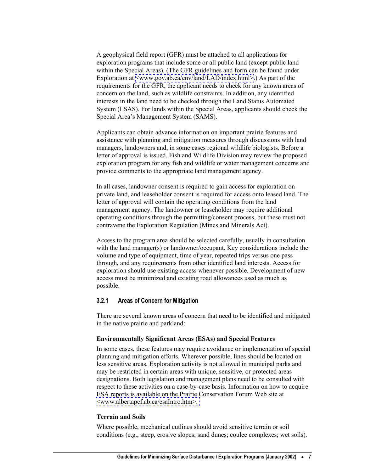<span id="page-14-0"></span>A geophysical field report (GFR) must be attached to all applications for exploration programs that include some or all public land (except public land within the Special Areas). (The GFR guidelines and form can be found under Exploration at  $\langle$ www.gov.ab.ca/env/land/LAD/index.html>.) As part of the requirements for the GFR, the applicant needs to check for any known areas of concern on the land, such as wildlife constraints. In addition, any identified interests in the land need to be checked through the Land Status Automated System (LSAS). For lands within the Special Areas, applicants should check the Special Area's Management System (SAMS).

Applicants can obtain advance information on important prairie features and assistance with planning and mitigation measures through discussions with land managers, landowners and, in some cases regional wildlife biologists. Before a letter of approval is issued, Fish and Wildlife Division may review the proposed exploration program for any fish and wildlife or water management concerns and provide comments to the appropriate land management agency.

In all cases, landowner consent is required to gain access for exploration on private land, and leaseholder consent is required for access onto leased land. The letter of approval will contain the operating conditions from the land management agency. The landowner or leaseholder may require additional operating conditions through the permitting/consent process, but these must not contravene the Exploration Regulation (Mines and Minerals Act).

Access to the program area should be selected carefully, usually in consultation with the land manager(s) or landowner/occupant. Key considerations include the volume and type of equipment, time of year, repeated trips versus one pass through, and any requirements from other identified land interests. Access for exploration should use existing access whenever possible. Development of new access must be minimized and existing road allowances used as much as possible.

#### **3.2.1 Areas of Concern for Mitigation**

There are several known areas of concern that need to be identified and mitigated in the native prairie and parkland:

#### **Environmentally Significant Areas (ESAs) and Special Features**

In some cases, these features may require avoidance or implementation of special planning and mitigation efforts. Wherever possible, lines should be located on less sensitive areas. Exploration activity is not allowed in municipal parks and may be restricted in certain areas with unique, sensitive, or protected areas designations. Both legislation and management plans need to be consulted with respect to these activities on a case-by-case basis. Information on how to acquire ESA reports is available on the Prairie Conservation Forum Web site at [<www.albertapcf.ab.ca/esaIntro.htm>.](http://www.albertapcf.ab.ca/esaIntro.htm) 

#### **Terrain and Soils**

Where possible, mechanical cutlines should avoid sensitive terrain or soil conditions (e.g., steep, erosive slopes; sand dunes; coulee complexes; wet soils).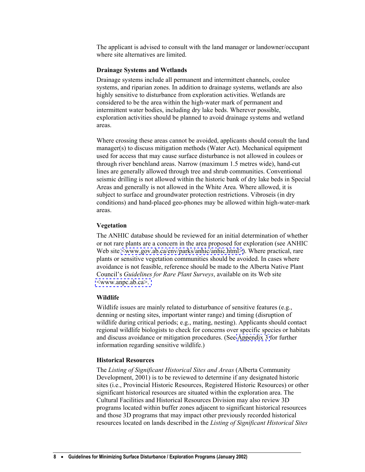The applicant is advised to consult with the land manager or landowner/occupant where site alternatives are limited.

#### **Drainage Systems and Wetlands**

Drainage systems include all permanent and intermittent channels, coulee systems, and riparian zones. In addition to drainage systems, wetlands are also highly sensitive to disturbance from exploration activities. Wetlands are considered to be the area within the high-water mark of permanent and intermittent water bodies, including dry lake beds. Wherever possible, exploration activities should be planned to avoid drainage systems and wetland areas.

Where crossing these areas cannot be avoided, applicants should consult the land manager(s) to discuss mitigation methods (Water Act). Mechanical equipment used for access that may cause surface disturbance is not allowed in coulees or through river benchland areas. Narrow (maximum 1.5 metres wide), hand-cut lines are generally allowed through tree and shrub communities. Conventional seismic drilling is not allowed within the historic bank of dry lake beds in Special Areas and generally is not allowed in the White Area. Where allowed, it is subject to surface and groundwater protection restrictions. Vibroseis (in dry conditions) and hand-placed geo-phones may be allowed within high-water-mark areas.

#### **Vegetation**

The ANHIC database should be reviewed for an initial determination of whether or not rare plants are a concern in the area proposed for exploration (see ANHIC Web site [<www.gov.ab.ca/env/parks/anhic/anhic.html>](http://www.gov.ab.ca/env/parks/anhic/anhic.html)). Where practical, rare plants or sensitive vegetation communities should be avoided. In cases where avoidance is not feasible, reference should be made to the Alberta Native Plant Council's *Guidelines for Rare Plant Surveys*, available on its Web site [<www.anpc.ab.ca>.](http://www.anpc.ab.ca) 

#### **Wildlife**

Wildlife issues are mainly related to disturbance of sensitive features (e.g., denning or nesting sites, important winter range) and timing (disruption of wildlife during critical periods; e.g., mating, nesting). Applicants should contact regional wildlife biologists to check for concerns over specific species or habitats and discuss avoidance or mitigation procedures. (See [Appendix 3](#page-41-0) for further information regarding sensitive wildlife.)

#### **Historical Resources**

The *Listing of Significant Historical Sites and Areas* (Alberta Community Development, 2001) is to be reviewed to determine if any designated historic sites (i.e., Provincial Historic Resources, Registered Historic Resources) or other significant historical resources are situated within the exploration area. The Cultural Facilities and Historical Resources Division may also review 3D programs located within buffer zones adjacent to significant historical resources and those 3D programs that may impact other previously recorded historical resources located on lands described in the *Listing of Significant Historical Sites*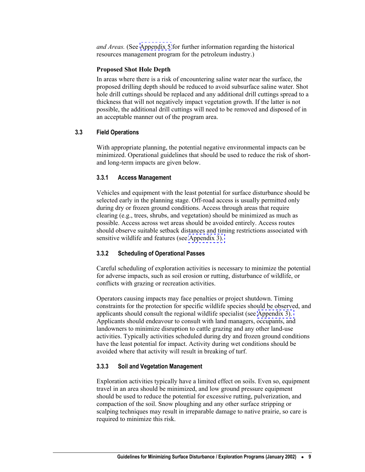<span id="page-16-0"></span>*and Areas.* (See [Appendix 5](#page-43-0) for further information regarding the historical resources management program for the petroleum industry.)

#### **Proposed Shot Hole Depth**

In areas where there is a risk of encountering saline water near the surface, the proposed drilling depth should be reduced to avoid subsurface saline water. Shot hole drill cuttings should be replaced and any additional drill cuttings spread to a thickness that will not negatively impact vegetation growth. If the latter is not possible, the additional drill cuttings will need to be removed and disposed of in an acceptable manner out of the program area.

#### **3.3 Field Operations**

With appropriate planning, the potential negative environmental impacts can be minimized. Operational guidelines that should be used to reduce the risk of shortand long-term impacts are given below.

### **3.3.1 Access Management**

Vehicles and equipment with the least potential for surface disturbance should be selected early in the planning stage. Off-road access is usually permitted only during dry or frozen ground conditions. Access through areas that require clearing (e.g., trees, shrubs, and vegetation) should be minimized as much as possible. Access across wet areas should be avoided entirely. Access routes should observe suitable setback distances and timing restrictions associated with sensitive wildlife and features (see [Appendix 3\).](#page-41-0) 

#### **3.3.2 Scheduling of Operational Passes**

Careful scheduling of exploration activities is necessary to minimize the potential for adverse impacts, such as soil erosion or rutting, disturbance of wildlife, or conflicts with grazing or recreation activities.

Operators causing impacts may face penalties or project shutdown. Timing constraints for the protection for specific wildlife species should be observed, and applicants should consult the regional wildlife specialist (see [Appendix 3\).](#page-41-0)  Applicants should endeavour to consult with land managers, occupants, and landowners to minimize disruption to cattle grazing and any other land-use activities. Typically activities scheduled during dry and frozen ground conditions have the least potential for impact. Activity during wet conditions should be avoided where that activity will result in breaking of turf.

#### **3.3.3 Soil and Vegetation Management**

Exploration activities typically have a limited effect on soils. Even so, equipment travel in an area should be minimized, and low ground pressure equipment should be used to reduce the potential for excessive rutting, pulverization, and compaction of the soil. Snow ploughing and any other surface stripping or scalping techniques may result in irreparable damage to native prairie, so care is required to minimize this risk.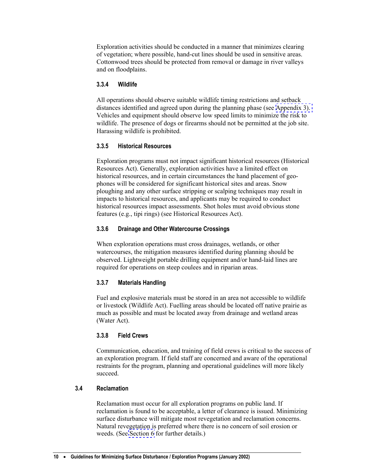<span id="page-17-0"></span>Exploration activities should be conducted in a manner that minimizes clearing of vegetation; where possible, hand-cut lines should be used in sensitive areas. Cottonwood trees should be protected from removal or damage in river valleys and on floodplains.

# **3.3.4 Wildlife**

All operations should observe suitable wildlife timing restrictions and setback distances identified and agreed upon during the planning phase (see [Appendix 3\).](#page-41-0)  Vehicles and equipment should observe low speed limits to minimize the risk to wildlife. The presence of dogs or firearms should not be permitted at the job site. Harassing wildlife is prohibited.

## **3.3.5 Historical Resources**

Exploration programs must not impact significant historical resources (Historical Resources Act). Generally, exploration activities have a limited effect on historical resources, and in certain circumstances the hand placement of geophones will be considered for significant historical sites and areas. Snow ploughing and any other surface stripping or scalping techniques may result in impacts to historical resources, and applicants may be required to conduct historical resources impact assessments. Shot holes must avoid obvious stone features (e.g., tipi rings) (see Historical Resources Act).

## **3.3.6 Drainage and Other Watercourse Crossings**

When exploration operations must cross drainages, wetlands, or other watercourses, the mitigation measures identified during planning should be observed. Lightweight portable drilling equipment and/or hand-laid lines are required for operations on steep coulees and in riparian areas.

# **3.3.7 Materials Handling**

Fuel and explosive materials must be stored in an area not accessible to wildlife or livestock (Wildlife Act). Fuelling areas should be located off native prairie as much as possible and must be located away from drainage and wetland areas (Water Act).

#### **3.3.8 Field Crews**

Communication, education, and training of field crews is critical to the success of an exploration program. If field staff are concerned and aware of the operational restraints for the program, planning and operational guidelines will more likely succeed.

## **3.4 Reclamation**

Reclamation must occur for all exploration programs on public land. If reclamation is found to be acceptable, a letter of clearance is issued. Minimizing surface disturbance will mitigate most revegetation and reclamation concerns. Natural revegetation is preferred where there is no concern of soil erosion or weeds. (See [Section 6](#page-31-0) for further details.)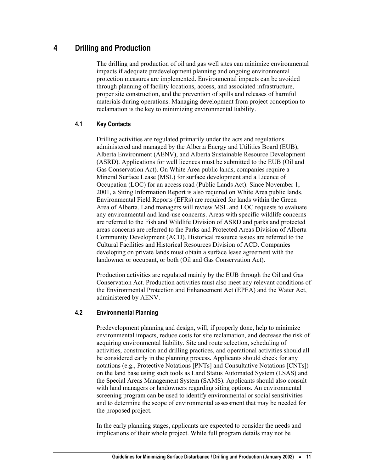# <span id="page-18-0"></span>**4 Drilling and Production**

The drilling and production of oil and gas well sites can minimize environmental impacts if adequate predevelopment planning and ongoing environmental protection measures are implemented. Environmental impacts can be avoided through planning of facility locations, access, and associated infrastructure, proper site construction, and the prevention of spills and releases of harmful materials during operations. Managing development from project conception to reclamation is the key to minimizing environmental liability.

# **4.1 Key Contacts**

Drilling activities are regulated primarily under the acts and regulations administered and managed by the Alberta Energy and Utilities Board (EUB), Alberta Environment (AENV), and Alberta Sustainable Resource Development (ASRD). Applications for well licences must be submitted to the EUB (Oil and Gas Conservation Act). On White Area public lands, companies require a Mineral Surface Lease (MSL) for surface development and a Licence of Occupation (LOC) for an access road (Public Lands Act). Since November 1, 2001, a Siting Information Report is also required on White Area public lands. Environmental Field Reports (EFRs) are required for lands within the Green Area of Alberta. Land managers will review MSL and LOC requests to evaluate any environmental and land-use concerns. Areas with specific wildlife concerns are referred to the Fish and Wildlife Division of ASRD and parks and protected areas concerns are referred to the Parks and Protected Areas Division of Alberta Community Development (ACD). Historical resource issues are referred to the Cultural Facilities and Historical Resources Division of ACD. Companies developing on private lands must obtain a surface lease agreement with the landowner or occupant, or both (Oil and Gas Conservation Act).

Production activities are regulated mainly by the EUB through the Oil and Gas Conservation Act. Production activities must also meet any relevant conditions of the Environmental Protection and Enhancement Act (EPEA) and the Water Act, administered by AENV.

## **4.2 Environmental Planning**

Predevelopment planning and design, will, if properly done, help to minimize environmental impacts, reduce costs for site reclamation, and decrease the risk of acquiring environmental liability. Site and route selection, scheduling of activities, construction and drilling practices, and operational activities should all be considered early in the planning process. Applicants should check for any notations (e.g., Protective Notations [PNTs] and Consultative Notations [CNTs]) on the land base using such tools as Land Status Automated System (LSAS) and the Special Areas Management System (SAMS). Applicants should also consult with land managers or landowners regarding siting options. An environmental screening program can be used to identify environmental or social sensitivities and to determine the scope of environmental assessment that may be needed for the proposed project.

In the early planning stages, applicants are expected to consider the needs and implications of their whole project. While full program details may not be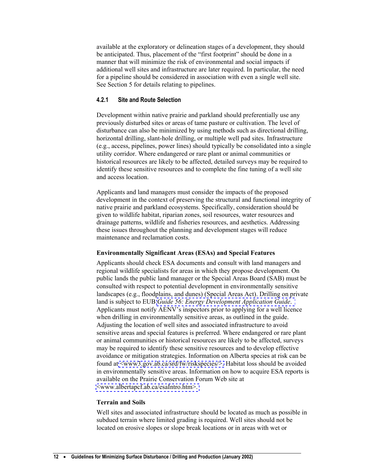<span id="page-19-0"></span>available at the exploratory or delineation stages of a development, they should be anticipated. Thus, placement of the "first footprint" should be done in a manner that will minimize the risk of environmental and social impacts if additional well sites and infrastructure are later required. In particular, the need for a pipeline should be considered in association with even a single well site. See Section 5 for details relating to pipelines.

## **4.2.1 Site and Route Selection**

Development within native prairie and parkland should preferentially use any previously disturbed sites or areas of tame pasture or cultivation. The level of disturbance can also be minimized by using methods such as directional drilling, horizontal drilling, slant-hole drilling, or multiple well pad sites. Infrastructure (e.g., access, pipelines, power lines) should typically be consolidated into a single utility corridor. Where endangered or rare plant or animal communities or historical resources are likely to be affected, detailed surveys may be required to identify these sensitive resources and to complete the fine tuning of a well site and access location.

Applicants and land managers must consider the impacts of the proposed development in the context of preserving the structural and functional integrity of native prairie and parkland ecosystems. Specifically, consideration should be given to wildlife habitat, riparian zones, soil resources, water resources and drainage patterns, wildlife and fisheries resources, and aesthetics. Addressing these issues throughout the planning and development stages will reduce maintenance and reclamation costs.

#### **Environmentally Significant Areas (ESAs) and Special Features**

Applicants should check ESA documents and consult with land managers and regional wildlife specialists for areas in which they propose development. On public lands the public land manager or the Special Areas Board (SAB) must be consulted with respect to potential development in environmentally sensitive landscapes (e.g., floodplains, and dunes) (Special Areas Act). Drilling on private land is subject to EUB *[Guide 56: Energy Development Application Guide](http://www.eub.gov.ab.ca/bbs/products/guides/g56-v1.pdf)*. Applicants must notify AENV's inspectors prior to applying for a well licence when drilling in environmentally sensitive areas, as outlined in the guide. Adjusting the location of well sites and associated infrastructure to avoid sensitive areas and special features is preferred. Where endangered or rare plant or animal communities or historical resources are likely to be affected, surveys may be required to identify these sensitive resources and to develop effective avoidance or mitigation strategies. Information on Alberta species at risk can be found at [<www3.gov.ab.ca/srd/fw/riskspecies/>.](http://www3.gov.ab.ca/srd/fw/riskspecies/) Habitat loss should be avoided in environmentally sensitive areas. Information on how to acquire ESA reports is available on the Prairie Conservation Forum Web site at [<www.albertapcf.ab.ca/esaIntro.htm>.](http://www.albertapcf.ab.ca/esaIntro.htm) 

#### **Terrain and Soils**

Well sites and associated infrastructure should be located as much as possible in subdued terrain where limited grading is required. Well sites should not be located on erosive slopes or slope break locations or in areas with wet or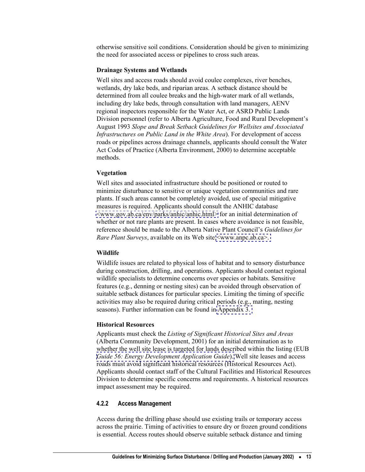<span id="page-20-0"></span>otherwise sensitive soil conditions. Consideration should be given to minimizing the need for associated access or pipelines to cross such areas.

#### **Drainage Systems and Wetlands**

Well sites and access roads should avoid coulee complexes, river benches, wetlands, dry lake beds, and riparian areas. A setback distance should be determined from all coulee breaks and the high-water mark of all wetlands, including dry lake beds, through consultation with land managers, AENV regional inspectors responsible for the Water Act, or ASRD Public Lands Division personnel (refer to Alberta Agriculture, Food and Rural Development's August 1993 *Slope and Break Setback Guidelines for Wellsites and Associated Infrastructures on Public Land in the White Area*). For development of access roads or pipelines across drainage channels, applicants should consult the Water Act Codes of Practice (Alberta Environment, 2000) to determine acceptable methods.

#### **Vegetation**

Well sites and associated infrastructure should be positioned or routed to minimize disturbance to sensitive or unique vegetation communities and rare plants. If such areas cannot be completely avoided, use of special mitigative measures is required. Applicants should consult the ANHIC database [<www.gov.ab.ca/env/parks/anhic/anhic.html>](http://www.gov.ab.ca/env/parks/anhic/anhic.html) for an initial determination of whether or not rare plants are present. In cases where avoidance is not feasible, reference should be made to the Alberta Native Plant Council's *Guidelines for Rare Plant Surveys*, available on its Web site [<www.anpc.ab.ca>.](http://www.anpc.ab.ca) 

#### **Wildlife**

Wildlife issues are related to physical loss of habitat and to sensory disturbance during construction, drilling, and operations. Applicants should contact regional wildlife specialists to determine concerns over species or habitats. Sensitive features (e.g., denning or nesting sites) can be avoided through observation of suitable setback distances for particular species. Limiting the timing of specific activities may also be required during critical periods (e.g., mating, nesting seasons). Further information can be found in [Appendix 3.](#page-41-0) 

#### **Historical Resources**

Applicants must check the *Listing of Significant Historical Sites and Areas* (Alberta Community Development, 2001) for an initial determination as to whether the well site lease is targeted for lands described within the listing (EUB *[Guide 56: Energy Development Application Guide](http://www.eub.gov.ab.ca/bbs/products/guides/g56-v1.pdf)*). Well site leases and access roads must avoid significant historical resources (Historical Resources Act). Applicants should contact staff of the Cultural Facilities and Historical Resources Division to determine specific concerns and requirements. A historical resources impact assessment may be required.

## **4.2.2 Access Management**

Access during the drilling phase should use existing trails or temporary access across the prairie. Timing of activities to ensure dry or frozen ground conditions is essential. Access routes should observe suitable setback distance and timing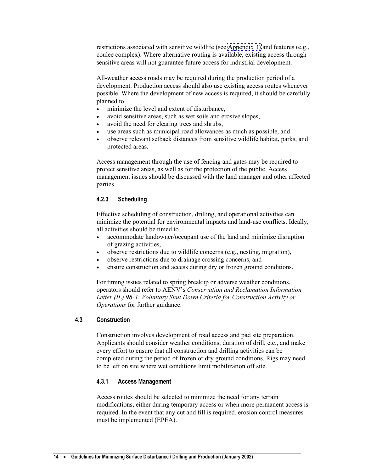<span id="page-21-0"></span>restrictions associated with sensitive wildlife (see [Appendix 3\)](#page-41-0) and features (e.g., coulee complex). Where alternative routing is available, existing access through sensitive areas will not guarantee future access for industrial development.

All-weather access roads may be required during the production period of a development. Production access should also use existing access routes whenever possible. Where the development of new access is required, it should be carefully planned to

- minimize the level and extent of disturbance,
- avoid sensitive areas, such as wet soils and erosive slopes,
- avoid the need for clearing trees and shrubs,
- use areas such as municipal road allowances as much as possible, and
- observe relevant setback distances from sensitive wildlife habitat, parks, and protected areas.

Access management through the use of fencing and gates may be required to protect sensitive areas, as well as for the protection of the public. Access management issues should be discussed with the land manager and other affected parties.

# **4.2.3 Scheduling**

Effective scheduling of construction, drilling, and operational activities can minimize the potential for environmental impacts and land-use conflicts. Ideally, all activities should be timed to

- accommodate landowner/occupant use of the land and minimize disruption of grazing activities,
- observe restrictions due to wildlife concerns (e.g., nesting, migration),
- observe restrictions due to drainage crossing concerns, and
- ensure construction and access during dry or frozen ground conditions.

For timing issues related to spring breakup or adverse weather conditions, operators should refer to AENV's *Conservation and Reclamation Information Letter (IL) 98-4: Voluntary Shut Down Criteria for Construction Activity or Operations* for further guidance.

# **4.3 Construction**

Construction involves development of road access and pad site preparation. Applicants should consider weather conditions, duration of drill, etc., and make every effort to ensure that all construction and drilling activities can be completed during the period of frozen or dry ground conditions. Rigs may need to be left on site where wet conditions limit mobilization off site.

# **4.3.1 Access Management**

Access routes should be selected to minimize the need for any terrain modifications, either during temporary access or when more permanent access is required. In the event that any cut and fill is required, erosion control measures must be implemented (EPEA).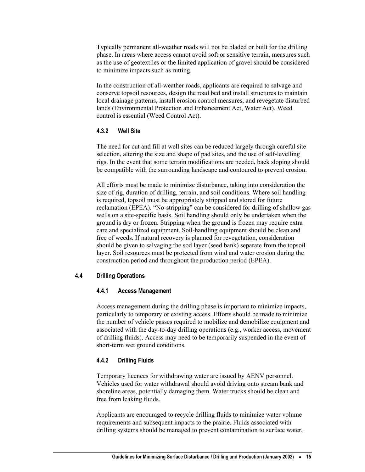<span id="page-22-0"></span>Typically permanent all-weather roads will not be bladed or built for the drilling phase. In areas where access cannot avoid soft or sensitive terrain, measures such as the use of geotextiles or the limited application of gravel should be considered to minimize impacts such as rutting.

In the construction of all-weather roads, applicants are required to salvage and conserve topsoil resources, design the road bed and install structures to maintain local drainage patterns, install erosion control measures, and revegetate disturbed lands (Environmental Protection and Enhancement Act, Water Act). Weed control is essential (Weed Control Act).

## **4.3.2 Well Site**

The need for cut and fill at well sites can be reduced largely through careful site selection, altering the size and shape of pad sites, and the use of self-levelling rigs. In the event that some terrain modifications are needed, back sloping should be compatible with the surrounding landscape and contoured to prevent erosion.

All efforts must be made to minimize disturbance, taking into consideration the size of rig, duration of drilling, terrain, and soil conditions. Where soil handling is required, topsoil must be appropriately stripped and stored for future reclamation (EPEA). "No-stripping" can be considered for drilling of shallow gas wells on a site-specific basis. Soil handling should only be undertaken when the ground is dry or frozen. Stripping when the ground is frozen may require extra care and specialized equipment. Soil-handling equipment should be clean and free of weeds. If natural recovery is planned for revegetation, consideration should be given to salvaging the sod layer (seed bank) separate from the topsoil layer. Soil resources must be protected from wind and water erosion during the construction period and throughout the production period (EPEA).

# **4.4 Drilling Operations**

#### **4.4.1 Access Management**

Access management during the drilling phase is important to minimize impacts, particularly to temporary or existing access. Efforts should be made to minimize the number of vehicle passes required to mobilize and demobilize equipment and associated with the day-to-day drilling operations (e.g., worker access, movement of drilling fluids). Access may need to be temporarily suspended in the event of short-term wet ground conditions.

#### **4.4.2 Drilling Fluids**

Temporary licences for withdrawing water are issued by AENV personnel. Vehicles used for water withdrawal should avoid driving onto stream bank and shoreline areas, potentially damaging them. Water trucks should be clean and free from leaking fluids.

Applicants are encouraged to recycle drilling fluids to minimize water volume requirements and subsequent impacts to the prairie. Fluids associated with drilling systems should be managed to prevent contamination to surface water,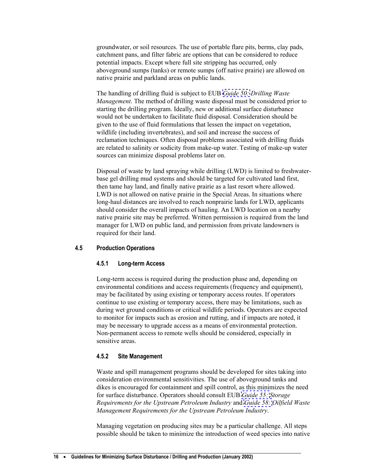<span id="page-23-0"></span>groundwater, or soil resources. The use of portable flare pits, berms, clay pads, catchment pans, and filter fabric are options that can be considered to reduce potential impacts. Except where full site stripping has occurred, only aboveground sumps (tanks) or remote sumps (off native prairie) are allowed on native prairie and parkland areas on public lands.

The handling of drilling fluid is subject to EUB *[Guide 50:](http://www.eub.gov.ab.ca/bbs/products/guides/g50-1996.pdf) Drilling Waste Management*. The method of drilling waste disposal must be considered prior to starting the drilling program. Ideally, new or additional surface disturbance would not be undertaken to facilitate fluid disposal. Consideration should be given to the use of fluid formulations that lessen the impact on vegetation, wildlife (including invertebrates), and soil and increase the success of reclamation techniques. Often disposal problems associated with drilling fluids are related to salinity or sodicity from make-up water. Testing of make-up water sources can minimize disposal problems later on.

Disposal of waste by land spraying while drilling (LWD) is limited to freshwaterbase gel drilling mud systems and should be targeted for cultivated land first, then tame hay land, and finally native prairie as a last resort where allowed. LWD is not allowed on native prairie in the Special Areas. In situations where long-haul distances are involved to reach nonprairie lands for LWD, applicants should consider the overall impacts of hauling. An LWD location on a nearby native prairie site may be preferred. Written permission is required from the land manager for LWD on public land, and permission from private landowners is required for their land.

#### **4.5 Production Operations**

## **4.5.1 Long-term Access**

Long-term access is required during the production phase and, depending on environmental conditions and access requirements (frequency and equipment), may be facilitated by using existing or temporary access routes. If operators continue to use existing or temporary access, there may be limitations, such as during wet ground conditions or critical wildlife periods. Operators are expected to monitor for impacts such as erosion and rutting, and if impacts are noted, it may be necessary to upgrade access as a means of environmental protection. Non-permanent access to remote wells should be considered, especially in sensitive areas.

#### **4.5.2 Site Management**

Waste and spill management programs should be developed for sites taking into consideration environmental sensitivities. The use of aboveground tanks and dikes is encouraged for containment and spill control, as this minimizes the need for surface disturbance. Operators should consult EUB *[Guide 55:](http://www.eub.gov.ab.ca/bbs/products/guides/g55-2001.pdf) Storage Requirements for the Upstream Petroleum Industry* and *[Guide 58:](http://www.eub.gov.ab.ca/bbs/products/guides/g58-1996.pdf) Oilfield Waste Management Requirements for the Upstream Petroleum Industry*.

Managing vegetation on producing sites may be a particular challenge. All steps possible should be taken to minimize the introduction of weed species into native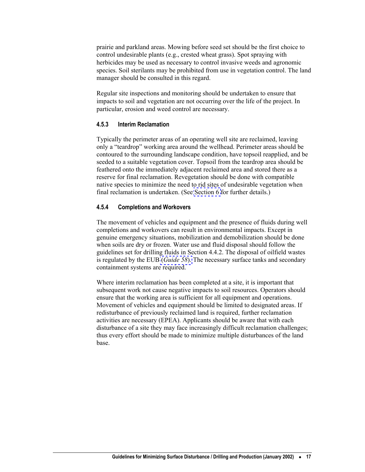<span id="page-24-0"></span>prairie and parkland areas. Mowing before seed set should be the first choice to control undesirable plants (e.g., crested wheat grass). Spot spraying with herbicides may be used as necessary to control invasive weeds and agronomic species. Soil sterilants may be prohibited from use in vegetation control. The land manager should be consulted in this regard.

Regular site inspections and monitoring should be undertaken to ensure that impacts to soil and vegetation are not occurring over the life of the project. In particular, erosion and weed control are necessary.

#### **4.5.3 Interim Reclamation**

Typically the perimeter areas of an operating well site are reclaimed, leaving only a "teardrop" working area around the wellhead. Perimeter areas should be contoured to the surrounding landscape condition, have topsoil reapplied, and be seeded to a suitable vegetation cover. Topsoil from the teardrop area should be feathered onto the immediately adjacent reclaimed area and stored there as a reserve for final reclamation. Revegetation should be done with compatible native species to minimize the need to rid sites of undesirable vegetation when final reclamation is undertaken. (See [Section 6](#page-31-0) for further details.)

#### **4.5.4 Completions and Workovers**

The movement of vehicles and equipment and the presence of fluids during well completions and workovers can result in environmental impacts. Except in genuine emergency situations, mobilization and demobilization should be done when soils are dry or frozen. Water use and fluid disposal should follow the guidelines set for drilling fluids in Section 4.4.2. The disposal of oilfield wastes is regulated by the EUB (*[Guide 58](http://www.eub.gov.ab.ca/bbs/products/guides/g58-1996.pdf)*). The necessary surface tanks and secondary containment systems are required.

Where interim reclamation has been completed at a site, it is important that subsequent work not cause negative impacts to soil resources. Operators should ensure that the working area is sufficient for all equipment and operations. Movement of vehicles and equipment should be limited to designated areas. If redisturbance of previously reclaimed land is required, further reclamation activities are necessary (EPEA). Applicants should be aware that with each disturbance of a site they may face increasingly difficult reclamation challenges; thus every effort should be made to minimize multiple disturbances of the land base.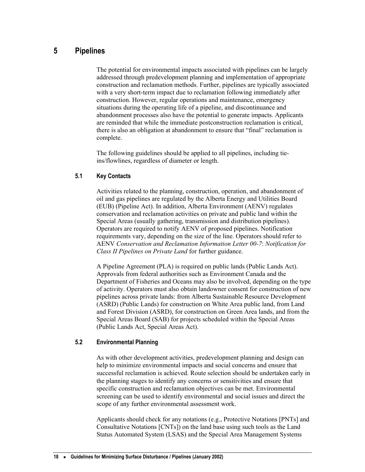# <span id="page-25-0"></span>**5 Pipelines**

The potential for environmental impacts associated with pipelines can be largely addressed through predevelopment planning and implementation of appropriate construction and reclamation methods. Further, pipelines are typically associated with a very short-term impact due to reclamation following immediately after construction. However, regular operations and maintenance, emergency situations during the operating life of a pipeline, and discontinuance and abandonment processes also have the potential to generate impacts. Applicants are reminded that while the immediate postconstruction reclamation is critical, there is also an obligation at abandonment to ensure that "final" reclamation is complete.

The following guidelines should be applied to all pipelines, including tieins/flowlines, regardless of diameter or length.

## **5.1 Key Contacts**

Activities related to the planning, construction, operation, and abandonment of oil and gas pipelines are regulated by the Alberta Energy and Utilities Board (EUB) (Pipeline Act). In addition, Alberta Environment (AENV) regulates conservation and reclamation activities on private and public land within the Special Areas (usually gathering, transmission and distribution pipelines). Operators are required to notify AENV of proposed pipelines. Notification requirements vary, depending on the size of the line. Operators should refer to AENV *Conservation and Reclamation Information Letter 00-7*: *Notification for Class II Pipelines on Private Land* for further guidance.

A Pipeline Agreement (PLA) is required on public lands (Public Lands Act). Approvals from federal authorities such as Environment Canada and the Department of Fisheries and Oceans may also be involved, depending on the type of activity. Operators must also obtain landowner consent for construction of new pipelines across private lands: from Alberta Sustainable Resource Development (ASRD) (Public Lands) for construction on White Area public land, from Land and Forest Division (ASRD), for construction on Green Area lands, and from the Special Areas Board (SAB) for projects scheduled within the Special Areas (Public Lands Act, Special Areas Act).

#### **5.2 Environmental Planning**

As with other development activities, predevelopment planning and design can help to minimize environmental impacts and social concerns and ensure that successful reclamation is achieved. Route selection should be undertaken early in the planning stages to identify any concerns or sensitivities and ensure that specific construction and reclamation objectives can be met. Environmental screening can be used to identify environmental and social issues and direct the scope of any further environmental assessment work.

Applicants should check for any notations (e.g., Protective Notations [PNTs] and Consultative Notations [CNTs]) on the land base using such tools as the Land Status Automated System (LSAS) and the Special Area Management Systems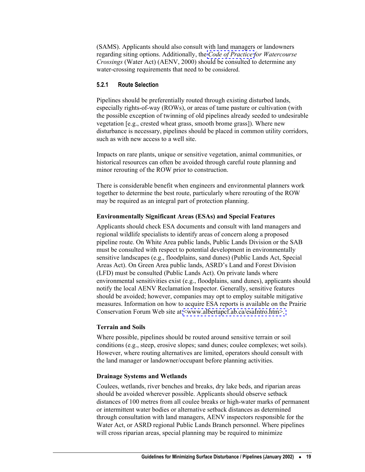<span id="page-26-0"></span>(SAMS). Applicants should also consult with land managers or landowners regarding siting options. Additionally, the *[Code of Practice](http://www3.gov.ab.ca/env/water/Legislation/CoP/Watercourse.pdf) for Watercourse Crossings* (Water Act) (AENV, 2000) should be consulted to determine any water-crossing requirements that need to be considered.

#### **5.2.1 Route Selection**

Pipelines should be preferentially routed through existing disturbed lands, especially rights-of-way (ROWs), or areas of tame pasture or cultivation (with the possible exception of twinning of old pipelines already seeded to undesirable vegetation [e.g., crested wheat grass, smooth brome grass]). Where new disturbance is necessary, pipelines should be placed in common utility corridors, such as with new access to a well site.

Impacts on rare plants, unique or sensitive vegetation, animal communities, or historical resources can often be avoided through careful route planning and minor rerouting of the ROW prior to construction.

There is considerable benefit when engineers and environmental planners work together to determine the best route, particularly where rerouting of the ROW may be required as an integral part of protection planning.

#### **Environmentally Significant Areas (ESAs) and Special Features**

Applicants should check ESA documents and consult with land managers and regional wildlife specialists to identify areas of concern along a proposed pipeline route. On White Area public lands, Public Lands Division or the SAB must be consulted with respect to potential development in environmentally sensitive landscapes (e.g., floodplains, sand dunes) (Public Lands Act, Special Areas Act). On Green Area public lands, ASRD's Land and Forest Division (LFD) must be consulted (Public Lands Act). On private lands where environmental sensitivities exist (e.g., floodplains, sand dunes), applicants should notify the local AENV Reclamation Inspector. Generally, sensitive features should be avoided; however, companies may opt to employ suitable mitigative measures. Information on how to acquire ESA reports is available on the Prairie Conservation Forum Web site at <www.albertapcf.ab.ca/esaIntro.htm>.

#### **Terrain and Soils**

Where possible, pipelines should be routed around sensitive terrain or soil conditions (e.g., steep, erosive slopes; sand dunes; coulee complexes; wet soils). However, where routing alternatives are limited, operators should consult with the land manager or landowner/occupant before planning activities.

#### **Drainage Systems and Wetlands**

Coulees, wetlands, river benches and breaks, dry lake beds, and riparian areas should be avoided wherever possible. Applicants should observe setback distances of 100 metres from all coulee breaks or high-water marks of permanent or intermittent water bodies or alternative setback distances as determined through consultation with land managers, AENV inspectors responsible for the Water Act, or ASRD regional Public Lands Branch personnel. Where pipelines will cross riparian areas, special planning may be required to minimize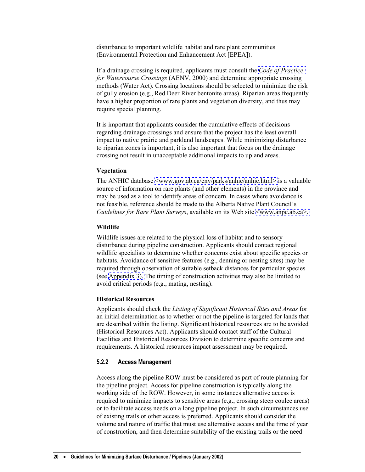<span id="page-27-0"></span>disturbance to important wildlife habitat and rare plant communities (Environmental Protection and Enhancement Act [EPEA]).

If a drainage crossing is required, applicants must consult the *[Code of Practice](http://www3.gov.ab.ca/env/water/Legislation/CoP/Watercourse.pdf)  for Watercourse Crossings* (AENV, 2000) and determine appropriate crossing methods (Water Act). Crossing locations should be selected to minimize the risk of gully erosion (e.g., Red Deer River bentonite areas). Riparian areas frequently have a higher proportion of rare plants and vegetation diversity, and thus may require special planning.

It is important that applicants consider the cumulative effects of decisions regarding drainage crossings and ensure that the project has the least overall impact to native prairie and parkland landscapes. While minimizing disturbance to riparian zones is important, it is also important that focus on the drainage crossing not result in unacceptable additional impacts to upland areas.

#### **Vegetation**

The ANHIC database [<www.gov.ab.ca/env/parks/anhic/anhic.html>](http://www.gov.ab.ca/env/parks/anhic/anhic.html) is a valuable source of information on rare plants (and other elements) in the province and may be used as a tool to identify areas of concern. In cases where avoidance is not feasible, reference should be made to the Alberta Native Plant Council's *Guidelines for Rare Plant Surveys*, available on its Web site  $\leq$ www.anpc.ab.ca>.

#### **Wildlife**

Wildlife issues are related to the physical loss of habitat and to sensory disturbance during pipeline construction. Applicants should contact regional wildlife specialists to determine whether concerns exist about specific species or habitats. Avoidance of sensitive features (e.g., denning or nesting sites) may be required through observation of suitable setback distances for particular species (see [Appendix 3\).](#page-41-0) The timing of construction activities may also be limited to avoid critical periods (e.g., mating, nesting).

#### **Historical Resources**

Applicants should check the *Listing of Significant Historical Sites and Areas* for an initial determination as to whether or not the pipeline is targeted for lands that are described within the listing. Significant historical resources are to be avoided (Historical Resources Act). Applicants should contact staff of the Cultural Facilities and Historical Resources Division to determine specific concerns and requirements. A historical resources impact assessment may be required.

#### **5.2.2 Access Management**

Access along the pipeline ROW must be considered as part of route planning for the pipeline project. Access for pipeline construction is typically along the working side of the ROW. However, in some instances alternative access is required to minimize impacts to sensitive areas (e.g., crossing steep coulee areas) or to facilitate access needs on a long pipeline project. In such circumstances use of existing trails or other access is preferred. Applicants should consider the volume and nature of traffic that must use alternative access and the time of year of construction, and then determine suitability of the existing trails or the need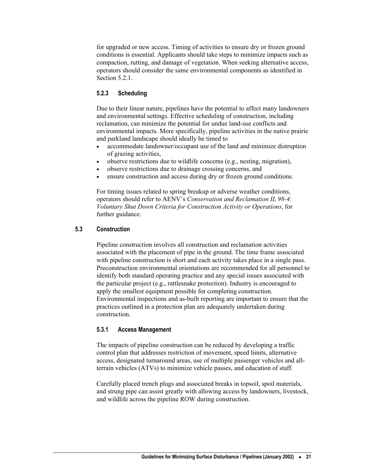<span id="page-28-0"></span>for upgraded or new access. Timing of activities to ensure dry or frozen ground conditions is essential. Applicants should take steps to minimize impacts such as compaction, rutting, and damage of vegetation. When seeking alternative access, operators should consider the same environmental components as identified in Section 5.2.1.

# **5.2.3 Scheduling**

Due to their linear nature, pipelines have the potential to affect many landowners and environmental settings. Effective scheduling of construction, including reclamation, can minimize the potential for undue land-use conflicts and environmental impacts. More specifically, pipeline activities in the native prairie and parkland landscape should ideally be timed to

- accommodate landowner/occupant use of the land and minimize distruption of grazing activities,
- observe restrictions due to wildlife concerns (e.g., nesting, migration),
- observe restrictions due to drainage crossing concerns, and
- ensure construction and access during dry or frozen ground conditions.

For timing issues related to spring breakup or adverse weather conditions, operators should refer to AENV's *Conservation and Reclamation IL 98-4: Voluntary Shut Down Criteria for Construction Activity or Operations*, for further guidance.

# **5.3 Construction**

Pipeline construction involves all construction and reclamation activities associated with the placement of pipe in the ground. The time frame associated with pipeline construction is short and each activity takes place in a single pass. Preconstruction environmental orientations are recommended for all personnel to identify both standard operating practice and any special issues associated with the particular project (e.g., rattlesnake protection). Industry is encouraged to apply the smallest equipment possible for completing construction. Environmental inspections and as-built reporting are important to ensure that the practices outlined in a protection plan are adequately undertaken during construction.

# **5.3.1 Access Management**

The impacts of pipeline construction can be reduced by developing a traffic control plan that addresses restriction of movement, speed limits, alternative access, designated turnaround areas, use of multiple passenger vehicles and allterrain vehicles (ATVs) to minimize vehicle passes, and education of staff.

Carefully placed trench plugs and associated breaks in topsoil, spoil materials, and strung pipe can assist greatly with allowing access by landowners, livestock, and wildlife across the pipeline ROW during construction.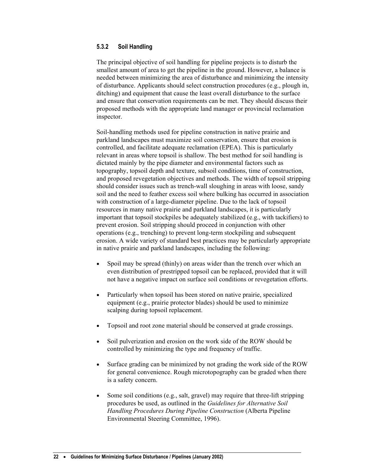## <span id="page-29-0"></span>**5.3.2 Soil Handling**

The principal objective of soil handling for pipeline projects is to disturb the smallest amount of area to get the pipeline in the ground. However, a balance is needed between minimizing the area of disturbance and minimizing the intensity of disturbance. Applicants should select construction procedures (e.g., plough in, ditching) and equipment that cause the least overall disturbance to the surface and ensure that conservation requirements can be met. They should discuss their proposed methods with the appropriate land manager or provincial reclamation inspector.

Soil-handling methods used for pipeline construction in native prairie and parkland landscapes must maximize soil conservation, ensure that erosion is controlled, and facilitate adequate reclamation (EPEA). This is particularly relevant in areas where topsoil is shallow. The best method for soil handling is dictated mainly by the pipe diameter and environmental factors such as topography, topsoil depth and texture, subsoil conditions, time of construction, and proposed revegetation objectives and methods. The width of topsoil stripping should consider issues such as trench-wall sloughing in areas with loose, sandy soil and the need to feather excess soil where bulking has occurred in association with construction of a large-diameter pipeline. Due to the lack of topsoil resources in many native prairie and parkland landscapes, it is particularly important that topsoil stockpiles be adequately stabilized (e.g., with tackifiers) to prevent erosion. Soil stripping should proceed in conjunction with other operations (e.g., trenching) to prevent long-term stockpiling and subsequent erosion. A wide variety of standard best practices may be particularly appropriate in native prairie and parkland landscapes, including the following:

- Spoil may be spread (thinly) on areas wider than the trench over which an even distribution of prestripped topsoil can be replaced, provided that it will not have a negative impact on surface soil conditions or revegetation efforts. •
- Particularly when topsoil has been stored on native prairie, specialized equipment (e.g., prairie protector blades) should be used to minimize scalping during topsoil replacement.
- Topsoil and root zone material should be conserved at grade crossings.
- Soil pulverization and erosion on the work side of the ROW should be controlled by minimizing the type and frequency of traffic.
- Surface grading can be minimized by not grading the work side of the ROW for general convenience. Rough microtopography can be graded when there is a safety concern.
- Some soil conditions (e.g., salt, gravel) may require that three-lift stripping procedures be used, as outlined in the *Guidelines for Alternative Soil Handling Procedures During Pipeline Construction* (Alberta Pipeline Environmental Steering Committee, 1996).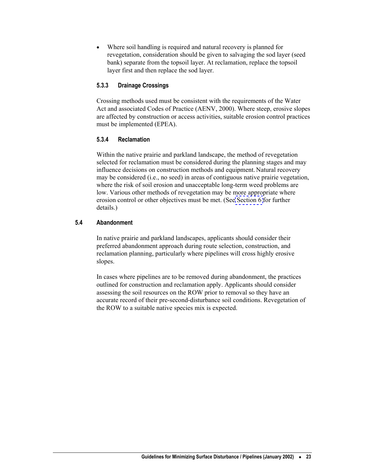<span id="page-30-0"></span>Where soil handling is required and natural recovery is planned for revegetation, consideration should be given to salvaging the sod layer (seed bank) separate from the topsoil layer. At reclamation, replace the topsoil layer first and then replace the sod layer. •

# **5.3.3 Drainage Crossings**

Crossing methods used must be consistent with the requirements of the Water Act and associated Codes of Practice (AENV, 2000). Where steep, erosive slopes are affected by construction or access activities, suitable erosion control practices must be implemented (EPEA).

# **5.3.4 Reclamation**

Within the native prairie and parkland landscape, the method of revegetation selected for reclamation must be considered during the planning stages and may influence decisions on construction methods and equipment. Natural recovery may be considered (i.e., no seed) in areas of contiguous native prairie vegetation, where the risk of soil erosion and unacceptable long-term weed problems are low. Various other methods of revegetation may be more appropriate where erosion control or other objectives must be met. (See [Section 6](#page-31-0) for further details.)

# **5.4 Abandonment**

In native prairie and parkland landscapes, applicants should consider their preferred abandonment approach during route selection, construction, and reclamation planning, particularly where pipelines will cross highly erosive slopes.

In cases where pipelines are to be removed during abandonment, the practices outlined for construction and reclamation apply. Applicants should consider assessing the soil resources on the ROW prior to removal so they have an accurate record of their pre-second-disturbance soil conditions. Revegetation of the ROW to a suitable native species mix is expected.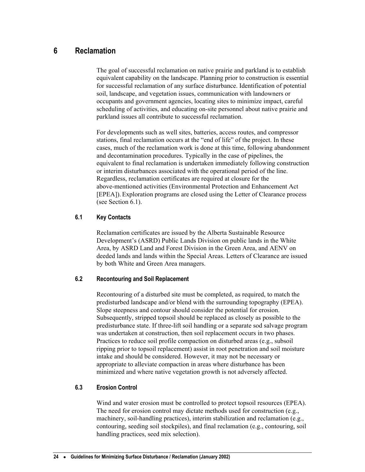# <span id="page-31-0"></span>**6 Reclamation**

The goal of successful reclamation on native prairie and parkland is to establish equivalent capability on the landscape. Planning prior to construction is essential for successful reclamation of any surface disturbance. Identification of potential soil, landscape, and vegetation issues, communication with landowners or occupants and government agencies, locating sites to minimize impact, careful scheduling of activities, and educating on-site personnel about native prairie and parkland issues all contribute to successful reclamation.

For developments such as well sites, batteries, access routes, and compressor stations, final reclamation occurs at the "end of life" of the project. In these cases, much of the reclamation work is done at this time, following abandonment and decontamination procedures. Typically in the case of pipelines, the equivalent to final reclamation is undertaken immediately following construction or interim disturbances associated with the operational period of the line. Regardless, reclamation certificates are required at closure for the above-mentioned activities (Environmental Protection and Enhancement Act [EPEA]). Exploration programs are closed using the Letter of Clearance process (see Section 6.1).

# **6.1 Key Contacts**

Reclamation certificates are issued by the Alberta Sustainable Resource Development's (ASRD) Public Lands Division on public lands in the White Area, by ASRD Land and Forest Division in the Green Area, and AENV on deeded lands and lands within the Special Areas. Letters of Clearance are issued by both White and Green Area managers.

# **6.2 Recontouring and Soil Replacement**

Recontouring of a disturbed site must be completed, as required, to match the predisturbed landscape and/or blend with the surrounding topography (EPEA). Slope steepness and contour should consider the potential for erosion. Subsequently, stripped topsoil should be replaced as closely as possible to the predisturbance state. If three-lift soil handling or a separate sod salvage program was undertaken at construction, then soil replacement occurs in two phases. Practices to reduce soil profile compaction on disturbed areas (e.g., subsoil ripping prior to topsoil replacement) assist in root penetration and soil moisture intake and should be considered. However, it may not be necessary or appropriate to alleviate compaction in areas where disturbance has been minimized and where native vegetation growth is not adversely affected.

# **6.3 Erosion Control**

Wind and water erosion must be controlled to protect topsoil resources (EPEA). The need for erosion control may dictate methods used for construction (e.g., machinery, soil-handling practices), interim stabilization and reclamation (e.g., contouring, seeding soil stockpiles), and final reclamation (e.g., contouring, soil handling practices, seed mix selection).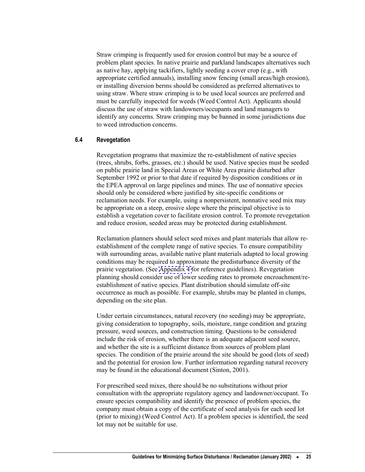<span id="page-32-0"></span>Straw crimping is frequently used for erosion control but may be a source of problem plant species. In native prairie and parkland landscapes alternatives such as native hay, applying tackifiers, lightly seeding a cover crop (e.g., with appropriate certified annuals), installing snow fencing (small areas/high erosion), or installing diversion berms should be considered as preferred alternatives to using straw. Where straw crimping is to be used local sources are preferred and must be carefully inspected for weeds (Weed Control Act). Applicants should discuss the use of straw with landowners/occupants and land managers to identify any concerns. Straw crimping may be banned in some jurisdictions due to weed introduction concerns.

#### **6.4 Revegetation**

Revegetation programs that maximize the re-establishment of native species (trees, shrubs, forbs, grasses, etc.) should be used. Native species must be seeded on public prairie land in Special Areas or White Area prairie disturbed after September 1992 or prior to that date if required by disposition conditions or in the EPEA approval on large pipelines and mines. The use of nonnative species should only be considered where justified by site-specific conditions or reclamation needs. For example, using a nonpersistent, nonnative seed mix may be appropriate on a steep, erosive slope where the principal objective is to establish a vegetation cover to facilitate erosion control. To promote revegetation and reduce erosion, seeded areas may be protected during establishment.

Reclamation planners should select seed mixes and plant materials that allow reestablishment of the complete range of native species. To ensure compatibility with surrounding areas, available native plant materials adapted to local growing conditions may be required to approximate the predisturbance diversity of the prairie vegetation. (See [Appendix 4](#page-42-0) for reference guidelines). Revegetation planning should consider use of lower seeding rates to promote encroachment/reestablishment of native species. Plant distribution should simulate off-site occurrence as much as possible. For example, shrubs may be planted in clumps, depending on the site plan.

Under certain circumstances, natural recovery (no seeding) may be appropriate, giving consideration to topography, soils, moisture, range condition and grazing pressure, weed sources, and construction timing. Questions to be considered include the risk of erosion, whether there is an adequate adjacent seed source, and whether the site is a sufficient distance from sources of problem plant species. The condition of the prairie around the site should be good (lots of seed) and the potential for erosion low. Further information regarding natural recovery may be found in the educational document (Sinton, 2001).

For prescribed seed mixes, there should be no substitutions without prior consultation with the appropriate regulatory agency and landowner/occupant. To ensure species compatibility and identify the presence of problem species, the company must obtain a copy of the certificate of seed analysis for each seed lot (prior to mixing) (Weed Control Act). If a problem species is identified, the seed lot may not be suitable for use.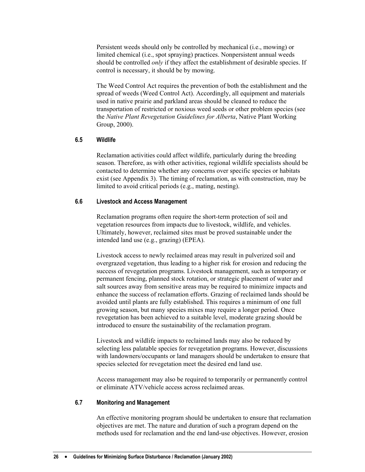<span id="page-33-0"></span>Persistent weeds should only be controlled by mechanical (i.e., mowing) or limited chemical (i.e., spot spraying) practices. Nonpersistent annual weeds should be controlled *only* if they affect the establishment of desirable species. If control is necessary, it should be by mowing.

The Weed Control Act requires the prevention of both the establishment and the spread of weeds (Weed Control Act). Accordingly, all equipment and materials used in native prairie and parkland areas should be cleaned to reduce the transportation of restricted or noxious weed seeds or other problem species (see the *Native Plant Revegetation Guidelines for Alberta*, Native Plant Working Group, 2000).

## **6.5 Wildlife**

Reclamation activities could affect wildlife, particularly during the breeding season. Therefore, as with other activities, regional wildlife specialists should be contacted to determine whether any concerns over specific species or habitats exist (see Appendix 3). The timing of reclamation, as with construction, may be limited to avoid critical periods (e.g., mating, nesting).

#### **6.6 Livestock and Access Management**

Reclamation programs often require the short-term protection of soil and vegetation resources from impacts due to livestock, wildlife, and vehicles. Ultimately, however, reclaimed sites must be proved sustainable under the intended land use (e.g., grazing) (EPEA).

Livestock access to newly reclaimed areas may result in pulverized soil and overgrazed vegetation, thus leading to a higher risk for erosion and reducing the success of revegetation programs. Livestock management, such as temporary or permanent fencing, planned stock rotation, or strategic placement of water and salt sources away from sensitive areas may be required to minimize impacts and enhance the success of reclamation efforts. Grazing of reclaimed lands should be avoided until plants are fully established. This requires a minimum of one full growing season, but many species mixes may require a longer period. Once revegetation has been achieved to a suitable level, moderate grazing should be introduced to ensure the sustainability of the reclamation program.

Livestock and wildlife impacts to reclaimed lands may also be reduced by selecting less palatable species for revegetation programs. However, discussions with landowners/occupants or land managers should be undertaken to ensure that species selected for revegetation meet the desired end land use.

Access management may also be required to temporarily or permanently control or eliminate ATV/vehicle access across reclaimed areas.

#### **6.7 Monitoring and Management**

An effective monitoring program should be undertaken to ensure that reclamation objectives are met. The nature and duration of such a program depend on the methods used for reclamation and the end land-use objectives. However, erosion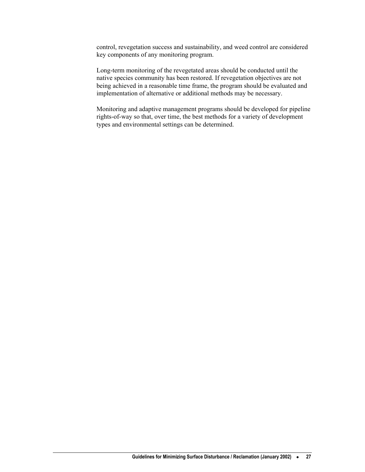control, revegetation success and sustainability, and weed control are considered key components of any monitoring program.

Long-term monitoring of the revegetated areas should be conducted until the native species community has been restored. If revegetation objectives are not being achieved in a reasonable time frame, the program should be evaluated and implementation of alternative or additional methods may be necessary.

Monitoring and adaptive management programs should be developed for pipeline rights-of-way so that, over time, the best methods for a variety of development types and environmental settings can be determined.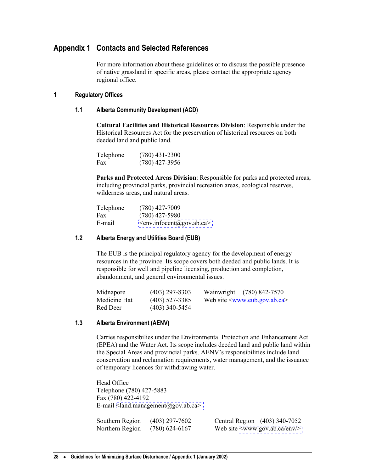# <span id="page-35-0"></span>**Appendix 1 Contacts and Selected References**

For more information about these guidelines or to discuss the possible presence of native grassland in specific areas, please contact the appropriate agency regional office.

## **1 Regulatory Offices**

## **1.1 Alberta Community Development (ACD)**

**Cultural Facilities and Historical Resources Division**: Responsible under the Historical Resources Act for the preservation of historical resources on both deeded land and public land.

| Telephone | $(780)$ 431-2300 |
|-----------|------------------|
| Fax       | $(780)$ 427-3956 |

**Parks and Protected Areas Division**: Responsible for parks and protected areas, including provincial parks, provincial recreation areas, ecological reserves, wilderness areas, and natural areas.

| Telephone | $(780)$ 427-7009               |
|-----------|--------------------------------|
| Fax       | $(780)$ 427-5980               |
| E-mail    | $\leq$ env.infocent@gov.ab.ca> |

## **1.2 Alberta Energy and Utilities Board (EUB)**

The EUB is the principal regulatory agency for the development of energy resources in the province. Its scope covers both deeded and public lands. It is responsible for well and pipeline licensing, production and completion, abandonment, and general environmental issues.

| Midnapore    | $(403)$ 297-8303 | Wainwright (780) 842-7570          |
|--------------|------------------|------------------------------------|
| Medicine Hat | $(403)$ 527-3385 | Web site $\leq$ www.eub.gov.ab.ca> |
| Red Deer     | $(403)$ 340-5454 |                                    |

# **1.3 Alberta Environment (AENV)**

Carries responsibilies under the Environmental Protection and Enhancement Act (EPEA) and the Water Act. Its scope includes deeded land and public land within the Special Areas and provincial parks. AENV's responsibilities include land conservation and reclamation requirements, water management, and the issuance of temporary licences for withdrawing water.

Head Office Telephone (780) 427-5883 Fax (780) 422-4192 E-mail  $\alpha$  -land.management (a) gov.ab.ca

| Southern Region | $(403)$ 297-7602 | Central Region (403) 340-7052          |
|-----------------|------------------|----------------------------------------|
| Northern Region | $(780)$ 624-6167 | Web site $\langle$ www.gov.ab.ca/env/> |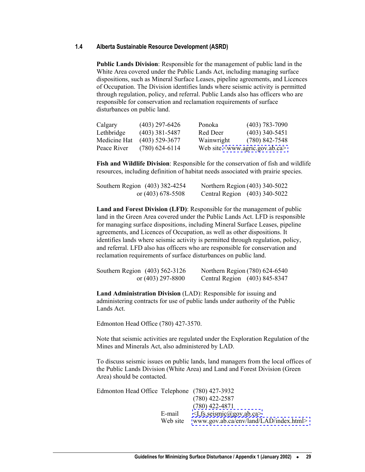#### **1.4 Alberta Sustainable Resource Development (ASRD)**

**Public Lands Division**: Responsible for the management of public land in the White Area covered under the Public Lands Act, including managing surface dispositions, such as Mineral Surface Leases, pipeline agreements, and Licences of Occupation. The Division identifies lands where seismic activity is permitted through regulation, policy, and referral. Public Lands also has officers who are responsible for conservation and reclamation requirements of surface disturbances on public land.

| Calgary      | (403) 297-6426   | Ponoka     | $(403)$ 783-7090                     |
|--------------|------------------|------------|--------------------------------------|
| Lethbridge   | (403) 381-5487   | Red Deer   | $(403)$ 340-5451                     |
| Medicine Hat | (403) 529-3677   | Wainwright | $(780)$ 842-7548                     |
| Peace River  | $(780)$ 624-6114 |            | Web site $\leq$ www.agric.gov.ab.ca> |

**Fish and Wildlife Division**: Responsible for the conservation of fish and wildlife resources, including definition of habitat needs associated with prairie species.

| Southern Region (403) 382-4254 | Northern Region (403) 340-5022 |
|--------------------------------|--------------------------------|
| or $(403)$ 678-5508            | Central Region (403) 340-5022  |

**Land and Forest Division (LFD)**: Responsible for the management of public land in the Green Area covered under the Public Lands Act. LFD is responsible for managing surface dispositions, including Mineral Surface Leases, pipeline agreements, and Licences of Occupation, as well as other dispositions. It identifies lands where seismic activity is permitted through regulation, policy, and referral. LFD also has officers who are responsible for conservation and reclamation requirements of surface disturbances on public land.

| Southern Region (403) 562-3126 | Northern Region (780) 624-6540 |
|--------------------------------|--------------------------------|
| or $(403)$ 297-8800            | Central Region (403) 845-8347  |

**Land Administration Division** (LAD): Responsible for issuing and administering contracts for use of public lands under authority of the Public Lands Act.

Edmonton Head Office (780) 427-3570.

Note that seismic activities are regulated under the Exploration Regulation of the Mines and Minerals Act, also administered by LAD.

To discuss seismic issues on public lands, land managers from the local offices of the Public Lands Division (White Area) and Land and Forest Division (Green Area) should be contacted.

Edmonton Head Office Telephone (780) 427-3932 (780) 422-2587 (780) 422-4871 E-mail  $\langle Lfs.seismic(\partial gov.ab.ca\rangle)$ Web site www.gov.ab.ca/env/land/LAD/index.html>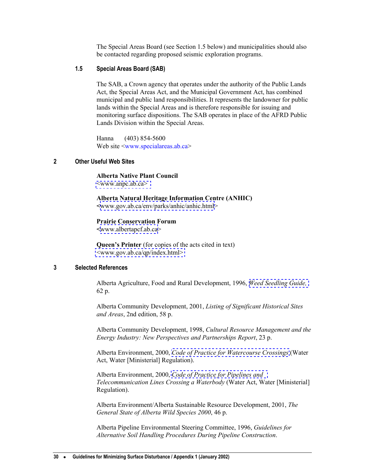The Special Areas Board (see Section 1.5 below) and municipalities should also be contacted regarding proposed seismic exploration programs.

# <span id="page-37-0"></span>**1.5 Special Areas Board (SAB)**

The SAB, a Crown agency that operates under the authority of the Public Lands Act, the Special Areas Act, and the Municipal Government Act, has combined municipal and public land responsibilities. It represents the landowner for public lands within the Special Areas and is therefore responsible for issuing and monitoring surface dispositions. The SAB operates in place of the AFRD Public Lands Division within the Special Areas.

 Hanna (403) 854-5600 Web site <[www.specialareas.ab.ca](http://www.specialareas.ab.ca/)>

## **2 Other Useful Web Sites**

**Alberta Native Plant Council** [<www.anpc.ab.ca>](http://www.anpc.ab.ca) 

**Alberta Natural Heritage Information Centre (ANHIC) <**[www.gov.ab.ca/env/parks/anhic/anhic.html](http://www.gov.ab.ca/env/parks/anhic/anhic.html)>

**Prairie Conservation Forum** 

**<**[www.albertapcf.ab.ca](http://www.albertapcf.ab.ca/)>

**Queen's Printer** (for copies of the acts cited in text) [<www.gov.ab.ca/qp/index.html>](http://www.gov.ab.ca/qp/index.html) 

#### **3 Selected References**

Alberta Agriculture, Food and Rural Development, 1996, *[Weed Seedling Guide,](http://www.agric.gov.ab.ca/agdex/000/pp6409tc.html)* 62 p.

Alberta Community Development, 2001, *Listing of Significant Historical Sites and Areas*, 2nd edition, 58 p.

Alberta Community Development, 1998, *Cultural Resource Management and the Energy Industry: New Perspectives and Partnerships Report*, 23 p.

Alberta Environment, 2000, *[Code of Practice for Watercourse Crossings](http://www3.gov.ab.ca/env/water/Legislation/CoP/Watercourse.pdf)* (Water Act, Water [Ministerial] Regulation).

Alberta Environment, 2000, *[Code of Practice for Pipelines and](http://www3.gov.ab.ca/env/water/Legislation/CoP/FactSheetPipelineWatercourse.pdf)  Telecommunication Lines Crossing a Waterbody* (Water Act, Water [Ministerial] Regulation).

Alberta Environment/Alberta Sustainable Resource Development, 2001, *The General State of Alberta Wild Species 2000*, 46 p.

Alberta Pipeline Environmental Steering Committee, 1996, *Guidelines for Alternative Soil Handling Procedures During Pipeline Construction*.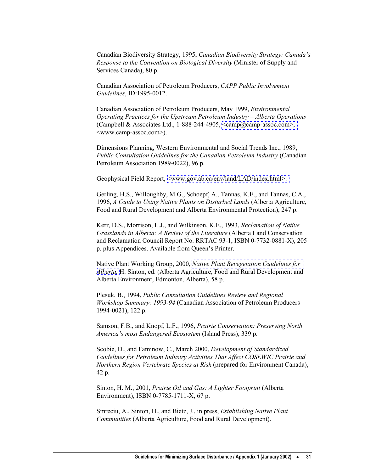Canadian Biodiversity Strategy, 1995, *Canadian Biodiversity Strategy: Canada's Response to the Convention on Biological Diversity* (Minister of Supply and Services Canada), 80 p.

Canadian Association of Petroleum Producers, *CAPP Public Involvement Guidelines*, ID:1995-0012.

Canadian Association of Petroleum Producers, May 1999, *Environmental Operating Practices for the Upstream Petroleum Industry – Alberta Operations*  (Campbell & Associates Ltd., 1-888-244-4905,  $\langle \text{camp@camp-assoc.com} \rangle$ , <www.camp-assoc.com>).

Dimensions Planning, Western Environmental and Social Trends Inc., 1989, *Public Consultation Guidelines for the Canadian Petroleum Industry* (Canadian Petroleum Association 1989-0022), 96 p.

Geophysical Field Report, [<www.gov.ab.ca/env/land/LAD/index.html>.](http://www.gov.ab.ca/env/land/LAD/index.html) 

Gerling, H.S., Willoughby, M.G., Schoepf, A., Tannas, K.E., and Tannas, C.A., 1996, *A Guide to Using Native Plants on Disturbed Lands* (Alberta Agriculture, Food and Rural Development and Alberta Environmental Protection), 247 p.

Kerr, D.S., Morrison, L.J., and Wilkinson, K.E., 1993, *Reclamation of Native Grasslands in Alberta: A Review of the Literature* (Alberta Land Conservation and Reclamation Council Report No. RRTAC 93-1, ISBN 0-7732-0881-X), 205 p. plus Appendices. Available from Queen's Printer.

Native Plant Working Group, 2000, *[Native Plant Revegetation Guidelines for](http://www.agric.gov.ab.ca/publiclands/nprg/index.html)  [Alberta,](http://www.agric.gov.ab.ca/publiclands/nprg/index.html)* H. Sinton, ed. (Alberta Agriculture, Food and Rural Development and Alberta Environment, Edmonton, Alberta), 58 p.

Plesuk, B., 1994, *Public Consultation Guidelines Review and Regional Workshop Summary: 1993-94* (Canadian Association of Petroleum Producers 1994-0021), 122 p.

Samson, F.B., and Knopf, L.F., 1996, *Prairie Conservation: Preserving North America's most Endangered Ecosystem* (Island Press), 339 p.

Scobie, D., and Faminow, C., March 2000, *Development of Standardized Guidelines for Petroleum Industry Activities That Affect COSEWIC Prairie and Northern Region Vertebrate Species at Risk* (prepared for Environment Canada), 42 p.

Sinton, H. M., 2001, *Prairie Oil and Gas: A Lighter Footprint* (Alberta Environment), ISBN 0-7785-1711-X, 67 p.

Smreciu, A., Sinton, H., and Bietz, J., in press, *Establishing Native Plant Communities* (Alberta Agriculture, Food and Rural Development).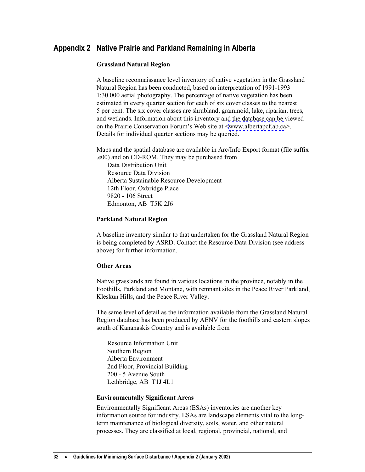# <span id="page-39-0"></span>**Appendix 2 Native Prairie and Parkland Remaining in Alberta**

#### **Grassland Natural Region**

A baseline reconnaissance level inventory of native vegetation in the Grassland Natural Region has been conducted, based on interpretation of 1991-1993 1:30 000 aerial photography. The percentage of native vegetation has been estimated in every quarter section for each of six cover classes to the nearest 5 per cent. The six cover classes are shrubland, graminoid, lake, riparian, trees, and wetlands. Information about this inventory and the database can be viewed on the Prairie Conservation Forum's Web site at <[www.albertapcf.ab.ca>](http://www.albertapcf.ab.ca/). Details for individual quarter sections may be queried.

Maps and the spatial database are available in Arc/Info Export format (file suffix .e00) and on CD-ROM. They may be purchased from

Data Distribution Unit Resource Data Division Alberta Sustainable Resource Development 12th Floor, Oxbridge Place 9820 - 106 Street Edmonton, AB T5K 2J6

#### **Parkland Natural Region**

A baseline inventory similar to that undertaken for the Grassland Natural Region is being completed by ASRD. Contact the Resource Data Division (see address above) for further information.

#### **Other Areas**

Native grasslands are found in various locations in the province, notably in the Foothills, Parkland and Montane, with remnant sites in the Peace River Parkland, Kleskun Hills, and the Peace River Valley.

The same level of detail as the information available from the Grassland Natural Region database has been produced by AENV for the foothills and eastern slopes south of Kananaskis Country and is available from

Resource Information Unit Southern Region Alberta Environment 2nd Floor, Provincial Building 200 - 5 Avenue South Lethbridge, AB T1J 4L1

#### **Environmentally Significant Areas**

Environmentally Significant Areas (ESAs) inventories are another key information source for industry. ESAs are landscape elements vital to the longterm maintenance of biological diversity, soils, water, and other natural processes. They are classified at local, regional, provincial, national, and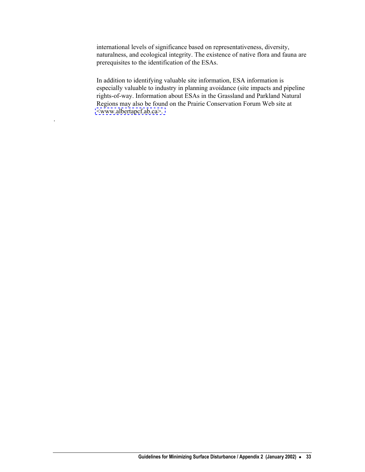international levels of significance based on representativeness, diversity, naturalness, and ecological integrity. The existence of native flora and fauna are prerequisites to the identification of the ESAs.

In addition to identifying valuable site information, ESA information is especially valuable to industry in planning avoidance (site impacts and pipeline rights-of-way. Information about ESAs in the Grassland and Parkland Natural Regions may also be found on the Prairie Conservation Forum Web site at [<www.albertapcf.ab.ca>.](http://www.albertapcf.ab.ca/) 

.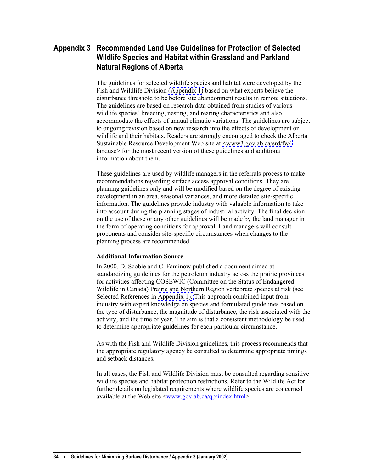# <span id="page-41-0"></span>**Appendix 3 Recommended Land Use Guidelines for Protection of Selected Wildlife Species and Habitat within Grassland and Parkland Natural Regions of Alberta**

The guidelines for selected wildlife species and habitat were developed by the Fish and Wildlife Division [\(Appendix 1\)](#page-35-0) based on what experts believe the disturbance threshold to be before site abandonment results in remote situations. The guidelines are based on research data obtained from studies of various wildlife species' breeding, nesting, and rearing characteristics and also accommodate the effects of annual climatic variations. The guidelines are subject to ongoing revision based on new research into the effects of development on wildlife and their habitats. Readers are strongly encouraged to check the Alberta Sustainable Resource Development Web site at [<www3.gov.ab.ca/srd/fw/](http://www3.gov.ab.ca/srd/fw/landuse)  landuse> for the most recent version of these guidelines and additional information about them.

These guidelines are used by wildlife managers in the referrals process to make recommendations regarding surface access approval conditions. They are planning guidelines only and will be modified based on the degree of existing development in an area, seasonal variances, and more detailed site-specific information. The guidelines provide industry with valuable information to take into account during the planning stages of industrial activity. The final decision on the use of these or any other guidelines will be made by the land manager in the form of operating conditions for approval. Land managers will consult proponents and consider site-specific circumstances when changes to the planning process are recommended.

#### **Additional Information Source**

In 2000, D. Scobie and C. Faminow published a document aimed at standardizing guidelines for the petroleum industry across the prairie provinces for activities affecting COSEWIC (Committee on the Status of Endangered Wildlife in Canada) Prairie and Northern Region vertebrate species at risk (see Selected References in [Appendix 1\).](#page-35-0) This approach combined input from industry with expert knowledge on species and formulated guidelines based on the type of disturbance, the magnitude of disturbance, the risk associated with the activity, and the time of year. The aim is that a consistent methodology be used to determine appropriate guidelines for each particular circumstance.

As with the Fish and Wildlife Division guidelines, this process recommends that the appropriate regulatory agency be consulted to determine appropriate timings and setback distances.

In all cases, the Fish and Wildlife Division must be consulted regarding sensitive wildlife species and habitat protection restrictions. Refer to the Wildlife Act for further details on legislated requirements where wildlife species are concerned available at the Web site [<www.gov.ab.ca/qp/index.html](http://www.gov.ab.ca/qp/index.html)>.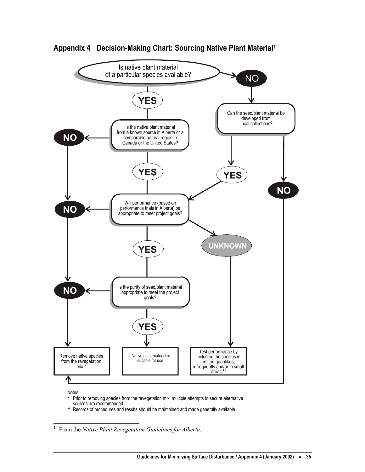

<span id="page-42-0"></span>

Notes:

- Prior to removing species from the revegetation mix, multiple attempts to secure alternative sources are recommended.
- \*\* Records of procedures and results should be maintained and made generally available.

<span id="page-42-1"></span> $\frac{1}{1}$ From the *Native Plant Revegetation Guidelines for Alberta*.